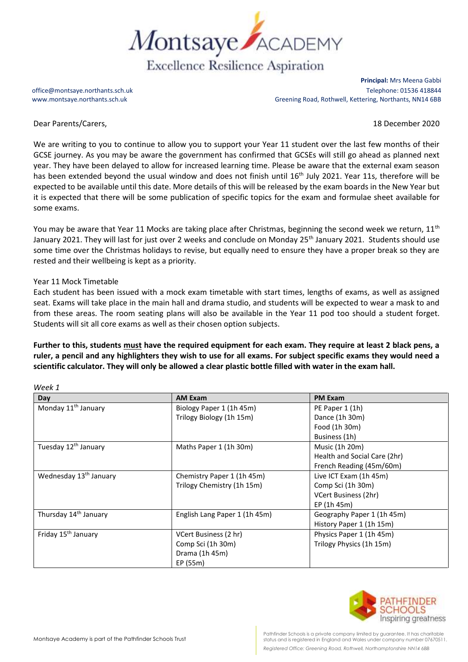

**Principal:** Mrs Meena Gabbi office@montsaye.northants.sch.uk Telephone: 01536 418844 www.montsaye.northants.sch.uk Greening Road, Rothwell, Kettering, Northants, NN14 6BB

Dear Parents/Carers, 18 December 2020

We are writing to you to continue to allow you to support your Year 11 student over the last few months of their GCSE journey. As you may be aware the government has confirmed that GCSEs will still go ahead as planned next year. They have been delayed to allow for increased learning time. Please be aware that the external exam season has been extended beyond the usual window and does not finish until 16<sup>th</sup> July 2021. Year 11s, therefore will be expected to be available until this date. More details of this will be released by the exam boards in the New Year but it is expected that there will be some publication of specific topics for the exam and formulae sheet available for some exams.

You may be aware that Year 11 Mocks are taking place after Christmas, beginning the second week we return,  $11<sup>th</sup>$ January 2021. They will last for just over 2 weeks and conclude on Monday 25<sup>th</sup> January 2021. Students should use some time over the Christmas holidays to revise, but equally need to ensure they have a proper break so they are rested and their wellbeing is kept as a priority.

## Year 11 Mock Timetable

*Week 1*

Each student has been issued with a mock exam timetable with start times, lengths of exams, as well as assigned seat. Exams will take place in the main hall and drama studio, and students will be expected to wear a mask to and from these areas. The room seating plans will also be available in the Year 11 pod too should a student forget. Students will sit all core exams as well as their chosen option subjects.

**Further to this, students must have the required equipment for each exam. They require at least 2 black pens, a ruler, a pencil and any highlighters they wish to use for all exams. For subject specific exams they would need a scientific calculator. They will only be allowed a clear plastic bottle filled with water in the exam hall.**

| <b>Day</b>                         | <b>AM Exam</b>                | <b>PM Exam</b>               |
|------------------------------------|-------------------------------|------------------------------|
| Monday 11 <sup>th</sup> January    | Biology Paper 1 (1h 45m)      | PE Paper 1 (1h)              |
|                                    | Trilogy Biology (1h 15m)      | Dance (1h 30m)               |
|                                    |                               | Food (1h 30m)                |
|                                    |                               | Business (1h)                |
| Tuesday 12 <sup>th</sup> January   | Maths Paper 1 (1h 30m)        | Music (1h 20m)               |
|                                    |                               | Health and Social Care (2hr) |
|                                    |                               | French Reading (45m/60m)     |
| Wednesday 13 <sup>th</sup> January | Chemistry Paper 1 (1h 45m)    | Live ICT Exam (1h 45m)       |
|                                    | Trilogy Chemistry (1h 15m)    | Comp Sci (1h 30m)            |
|                                    |                               | VCert Business (2hr)         |
|                                    |                               | EP (1h 45m)                  |
| Thursday 14 <sup>th</sup> January  | English Lang Paper 1 (1h 45m) | Geography Paper 1 (1h 45m)   |
|                                    |                               | History Paper 1 (1h 15m)     |
| Friday 15 <sup>th</sup> January    | VCert Business (2 hr)         | Physics Paper 1 (1h 45m)     |
|                                    | Comp Sci (1h 30m)             | Trilogy Physics (1h 15m)     |
|                                    | Drama (1h 45m)                |                              |
|                                    | EP (55m)                      |                              |



Pathfinder Schools is a private company limited by guarantee. It has charitable status and is registered in England and Wales under company number 07670511. *Registered Office: Greening Road, Rothwell, Northamptonshire NN14 6BB*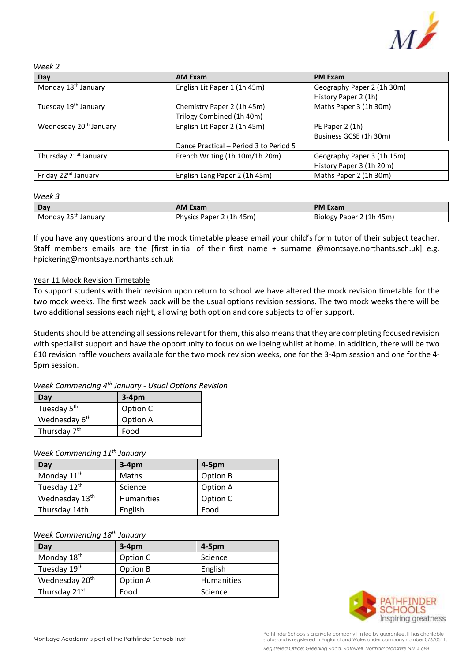

#### *Week 2*

| Day                                | <b>AM Exam</b>                         | <b>PM Exam</b>             |
|------------------------------------|----------------------------------------|----------------------------|
| Monday 18 <sup>th</sup> January    | English Lit Paper 1 (1h 45m)           | Geography Paper 2 (1h 30m) |
|                                    |                                        | History Paper 2 (1h)       |
| Tuesday 19 <sup>th</sup> January   | Chemistry Paper 2 (1h 45m)             | Maths Paper 3 (1h 30m)     |
|                                    | Trilogy Combined (1h 40m)              |                            |
| Wednesday 20 <sup>th</sup> January | English Lit Paper 2 (1h 45m)           | PE Paper 2 (1h)            |
|                                    |                                        | Business GCSE (1h 30m)     |
|                                    | Dance Practical – Period 3 to Period 5 |                            |
| Thursday 21 <sup>st</sup> January  | French Writing (1h 10m/1h 20m)         | Geography Paper 3 (1h 15m) |
|                                    |                                        | History Paper 3 (1h 20m)   |
| Friday 22 <sup>nd</sup> January    | English Lang Paper 2 (1h 45m)          | Maths Paper 2 (1h 30m)     |

#### *Week 3*

| Dav                       | <b>AM Exam</b>                           | <b>PM Exam</b>                       |
|---------------------------|------------------------------------------|--------------------------------------|
| っcth<br>Mondav<br>Januarv | 45m)<br><b>Physics</b><br>2 (1h<br>Paper | . 45m`<br>(1h)<br>, Paper<br>BIOIOgy |

If you have any questions around the mock timetable please email your child's form tutor of their subject teacher. Staff members emails are the [first initial of their first name + surname @montsaye.northants.sch.uk] e.g. hpickering@montsaye.northants.sch.uk

## Year 11 Mock Revision Timetable

To support students with their revision upon return to school we have altered the mock revision timetable for the two mock weeks. The first week back will be the usual options revision sessions. The two mock weeks there will be two additional sessions each night, allowing both option and core subjects to offer support.

Students should be attending all sessions relevant for them, this also means that they are completing focused revision with specialist support and have the opportunity to focus on wellbeing whilst at home. In addition, there will be two £10 revision raffle vouchers available for the two mock revision weeks, one for the 3-4pm session and one for the 4- 5pm session.

# *Week Commencing 4th January - Usual Options Revision*

| Dav                       | $3-4pm$  |
|---------------------------|----------|
| Tuesday 5 <sup>th</sup>   | Option C |
| Wednesday 6 <sup>th</sup> | Option A |
| Thursday 7 <sup>th</sup>  | Food     |

*Week Commencing 11th January*

| Day                        | $3-4pm$    | $4-5pm$  |
|----------------------------|------------|----------|
| Monday 11 <sup>th</sup>    | Maths      | Option B |
| Tuesday 12 <sup>th</sup>   | Science    | Option A |
| Wednesday 13 <sup>th</sup> | Humanities | Option C |
| Thursday 14th              | English    | Food     |

### *Week Commencing 18th January*

| Day                        | $3-4pm$  | $4-5pm$           |
|----------------------------|----------|-------------------|
| Monday 18 <sup>th</sup>    | Option C | Science           |
| Tuesday 19th               | Option B | English           |
| Wednesday 20 <sup>th</sup> | Option A | <b>Humanities</b> |
| Thursday 21st              | Food     | Science           |